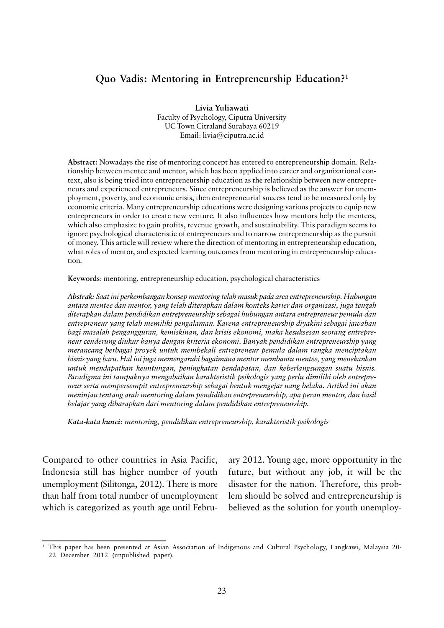# **Quo Vadis: Mentoring in Entrepreneurship Education?1**

**Livia Yuliawati** Faculty of Psychology, Ciputra University UC Town Citraland Surabaya 60219 Email: livia@ciputra.ac.id

**Abstract:** Nowadays the rise of mentoring concept has entered to entrepreneurship domain. Relationship between mentee and mentor, which has been applied into career and organizational context, also is being tried into entrepreneurship education as the relationship between new entrepreneurs and experienced entrepreneurs. Since entrepreneurship is believed as the answer for unemployment, poverty, and economic crisis, then entrepreneurial success tend to be measured only by economic criteria. Many entrepreneurship educations were designing various projects to equip new entrepreneurs in order to create new venture. It also influences how mentors help the mentees, which also emphasize to gain profits, revenue growth, and sustainability. This paradigm seems to ignore psychological characteristic of entrepreneurs and to narrow entrepreneurship as the pursuit of money. This article will review where the direction of mentoring in entrepreneurship education, what roles of mentor, and expected learning outcomes from mentoring in entrepreneurship education.

**Keywords**: mentoring, entrepreneurship education, psychological characteristics

*Abstrak: Saat ini perkembangan konsep mentoring telah masuk pada area entrepreneurship. Hubungan antara mentee dan mentor, yang telah diterapkan dalam konteks karier dan organisasi, juga tengah diterapkan dalam pendidikan entrepreneurship sebagai hubungan antara entrepreneur pemula dan entrepreneur yang telah memiliki pengalaman. Karena entrepreneurship diyakini sebagai jawaban bagi masalah pengangguran, kemiskinan, dan krisis ekonomi, maka kesuksesan seorang entrepreneur cenderung diukur hanya dengan kriteria ekonomi. Banyak pendidikan entrepreneurship yang merancang berbagai proyek untuk membekali entrepreneur pemula dalam rangka menciptakan bisnis yang baru. Hal ini juga memengaruhi bagaimana mentor membantu mentee, yang menekankan untuk mendapatkan keuntungan, peningkatan pendapatan, dan keberlangsungan suatu bisnis. Paradigma ini tampaknya mengabaikan karakteristik psikologis yang perlu dimiliki oleh entrepreneur serta mempersempit entrepreneurship sebagai bentuk mengejar uang belaka. Artikel ini akan meninjau tentang arah mentoring dalam pendidikan entrepreneurship, apa peran mentor, dan hasil belajar yang diharapkan dari mentoring dalam pendidikan entrepreneurship.*

*Kata-kata kunci: mentoring, pendidikan entrepreneurship, karakteristik psikologis*

Compared to other countries in Asia Pacific, Indonesia still has higher number of youth unemployment (Silitonga, 2012). There is more than half from total number of unemployment which is categorized as youth age until February 2012. Young age, more opportunity in the future, but without any job, it will be the disaster for the nation. Therefore, this problem should be solved and entrepreneurship is believed as the solution for youth unemploy-

<sup>1</sup> This paper has been presented at Asian Association of Indigenous and Cultural Psychology, Langkawi, Malaysia 20- 22 December 2012 (unpublished paper).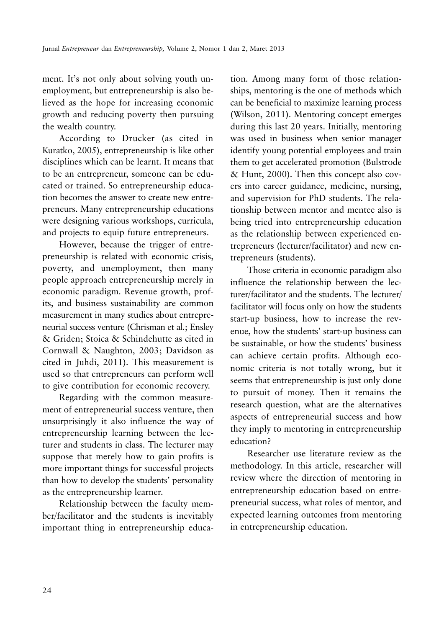ment. It's not only about solving youth unemployment, but entrepreneurship is also believed as the hope for increasing economic growth and reducing poverty then pursuing the wealth country.

According to Drucker (as cited in Kuratko, 2005), entrepreneurship is like other disciplines which can be learnt. It means that to be an entrepreneur, someone can be educated or trained. So entrepreneurship education becomes the answer to create new entrepreneurs. Many entrepreneurship educations were designing various workshops, curricula, and projects to equip future entrepreneurs.

However, because the trigger of entrepreneurship is related with economic crisis, poverty, and unemployment, then many people approach entrepreneurship merely in economic paradigm. Revenue growth, profits, and business sustainability are common measurement in many studies about entrepreneurial success venture (Chrisman et al.; Ensley & Griden; Stoica & Schindehutte as cited in Cornwall & Naughton, 2003; Davidson as cited in Juhdi, 2011). This measurement is used so that entrepreneurs can perform well to give contribution for economic recovery.

Regarding with the common measurement of entrepreneurial success venture, then unsurprisingly it also influence the way of entrepreneurship learning between the lecturer and students in class. The lecturer may suppose that merely how to gain profits is more important things for successful projects than how to develop the students' personality as the entrepreneurship learner.

Relationship between the faculty member/facilitator and the students is inevitably important thing in entrepreneurship education. Among many form of those relationships, mentoring is the one of methods which can be beneficial to maximize learning process (Wilson, 2011). Mentoring concept emerges during this last 20 years. Initially, mentoring was used in business when senior manager identify young potential employees and train them to get accelerated promotion (Bulstrode & Hunt, 2000). Then this concept also covers into career guidance, medicine, nursing, and supervision for PhD students. The relationship between mentor and mentee also is being tried into entrepreneurship education as the relationship between experienced entrepreneurs (lecturer/facilitator) and new entrepreneurs (students).

Those criteria in economic paradigm also influence the relationship between the lecturer/facilitator and the students. The lecturer/ facilitator will focus only on how the students start-up business, how to increase the revenue, how the students' start-up business can be sustainable, or how the students' business can achieve certain profits. Although economic criteria is not totally wrong, but it seems that entrepreneurship is just only done to pursuit of money. Then it remains the research question, what are the alternatives aspects of entrepreneurial success and how they imply to mentoring in entrepreneurship education?

Researcher use literature review as the methodology. In this article, researcher will review where the direction of mentoring in entrepreneurship education based on entrepreneurial success, what roles of mentor, and expected learning outcomes from mentoring in entrepreneurship education.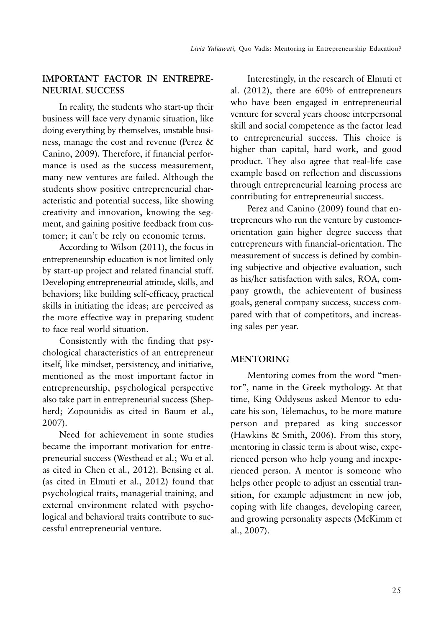## **IMPORTANT FACTOR IN ENTREPRE-NEURIAL SUCCESS**

In reality, the students who start-up their business will face very dynamic situation, like doing everything by themselves, unstable business, manage the cost and revenue (Perez & Canino, 2009). Therefore, if financial performance is used as the success measurement, many new ventures are failed. Although the students show positive entrepreneurial characteristic and potential success, like showing creativity and innovation, knowing the segment, and gaining positive feedback from customer; it can't be rely on economic terms.

According to Wilson (2011), the focus in entrepreneurship education is not limited only by start-up project and related financial stuff. Developing entrepreneurial attitude, skills, and behaviors; like building self-efficacy, practical skills in initiating the ideas; are perceived as the more effective way in preparing student to face real world situation.

Consistently with the finding that psychological characteristics of an entrepreneur itself, like mindset, persistency, and initiative, mentioned as the most important factor in entrepreneurship, psychological perspective also take part in entrepreneurial success (Shepherd; Zopounidis as cited in Baum et al., 2007).

Need for achievement in some studies became the important motivation for entrepreneurial success (Westhead et al.; Wu et al. as cited in Chen et al., 2012). Bensing et al. (as cited in Elmuti et al., 2012) found that psychological traits, managerial training, and external environment related with psychological and behavioral traits contribute to successful entrepreneurial venture.

Interestingly, in the research of Elmuti et al. (2012), there are 60% of entrepreneurs who have been engaged in entrepreneurial venture for several years choose interpersonal skill and social competence as the factor lead to entrepreneurial success. This choice is higher than capital, hard work, and good product. They also agree that real-life case example based on reflection and discussions through entrepreneurial learning process are contributing for entrepreneurial success.

Perez and Canino (2009) found that entrepreneurs who run the venture by customerorientation gain higher degree success that entrepreneurs with financial-orientation. The measurement of success is defined by combining subjective and objective evaluation, such as his/her satisfaction with sales, ROA, company growth, the achievement of business goals, general company success, success compared with that of competitors, and increasing sales per year.

### **MENTORING**

Mentoring comes from the word "mentor", name in the Greek mythology. At that time, King Oddyseus asked Mentor to educate his son, Telemachus, to be more mature person and prepared as king successor (Hawkins & Smith, 2006). From this story, mentoring in classic term is about wise, experienced person who help young and inexperienced person. A mentor is someone who helps other people to adjust an essential transition, for example adjustment in new job, coping with life changes, developing career, and growing personality aspects (McKimm et al., 2007).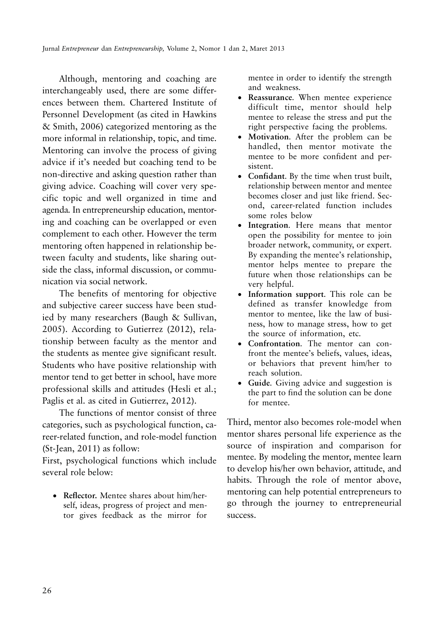Although, mentoring and coaching are interchangeably used, there are some differences between them. Chartered Institute of Personnel Development (as cited in Hawkins & Smith, 2006) categorized mentoring as the more informal in relationship, topic, and time. Mentoring can involve the process of giving advice if it's needed but coaching tend to be non-directive and asking question rather than giving advice. Coaching will cover very specific topic and well organized in time and agenda. In entrepreneurship education, mentoring and coaching can be overlapped or even complement to each other. However the term mentoring often happened in relationship between faculty and students, like sharing outside the class, informal discussion, or communication via social network.

The benefits of mentoring for objective and subjective career success have been studied by many researchers (Baugh & Sullivan, 2005). According to Gutierrez (2012), relationship between faculty as the mentor and the students as mentee give significant result. Students who have positive relationship with mentor tend to get better in school, have more professional skills and attitudes (Hesli et al.; Paglis et al. as cited in Gutierrez, 2012).

The functions of mentor consist of three categories, such as psychological function, career-related function, and role-model function (St-Jean, 2011) as follow:

First, psychological functions which include several role below:

• **Reflector.** Mentee shares about him/herself, ideas, progress of project and mentor gives feedback as the mirror for mentee in order to identify the strength and weakness.

- **Reassurance**. When mentee experience difficult time, mentor should help mentee to release the stress and put the right perspective facing the problems.
- **Motivation**. After the problem can be handled, then mentor motivate the mentee to be more confident and persistent.
- **Confidant**. By the time when trust built, relationship between mentor and mentee becomes closer and just like friend. Second, career-related function includes some roles below
- **Integration**. Here means that mentor open the possibility for mentee to join broader network, community, or expert. By expanding the mentee's relationship, mentor helps mentee to prepare the future when those relationships can be very helpful.
- **Information support**. This role can be defined as transfer knowledge from mentor to mentee, like the law of business, how to manage stress, how to get the source of information, etc.
- **Confrontation**. The mentor can confront the mentee's beliefs, values, ideas, or behaviors that prevent him/her to reach solution.
- **Guide**. Giving advice and suggestion is the part to find the solution can be done for mentee.

Third, mentor also becomes role-model when mentor shares personal life experience as the source of inspiration and comparison for mentee. By modeling the mentor, mentee learn to develop his/her own behavior, attitude, and habits. Through the role of mentor above, mentoring can help potential entrepreneurs to go through the journey to entrepreneurial success.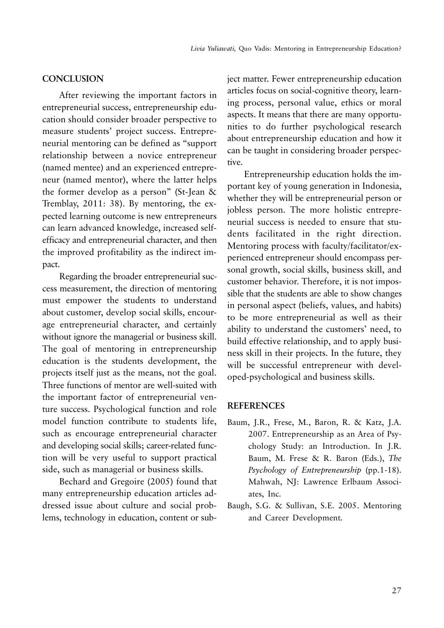#### **CONCLUSION**

After reviewing the important factors in entrepreneurial success, entrepreneurship education should consider broader perspective to measure students' project success. Entrepreneurial mentoring can be defined as "support relationship between a novice entrepreneur (named mentee) and an experienced entrepreneur (named mentor), where the latter helps the former develop as a person" (St-Jean & Tremblay, 2011: 38). By mentoring, the expected learning outcome is new entrepreneurs can learn advanced knowledge, increased selfefficacy and entrepreneurial character, and then the improved profitability as the indirect impact.

Regarding the broader entrepreneurial success measurement, the direction of mentoring must empower the students to understand about customer, develop social skills, encourage entrepreneurial character, and certainly without ignore the managerial or business skill. The goal of mentoring in entrepreneurship education is the students development, the projects itself just as the means, not the goal. Three functions of mentor are well-suited with the important factor of entrepreneurial venture success. Psychological function and role model function contribute to students life, such as encourage entrepreneurial character and developing social skills; career-related function will be very useful to support practical side, such as managerial or business skills.

Bechard and Gregoire (2005) found that many entrepreneurship education articles addressed issue about culture and social problems, technology in education, content or subject matter. Fewer entrepreneurship education articles focus on social-cognitive theory, learning process, personal value, ethics or moral aspects. It means that there are many opportunities to do further psychological research about entrepreneurship education and how it can be taught in considering broader perspective.

Entrepreneurship education holds the important key of young generation in Indonesia, whether they will be entrepreneurial person or jobless person. The more holistic entrepreneurial success is needed to ensure that students facilitated in the right direction. Mentoring process with faculty/facilitator/experienced entrepreneur should encompass personal growth, social skills, business skill, and customer behavior. Therefore, it is not impossible that the students are able to show changes in personal aspect (beliefs, values, and habits) to be more entrepreneurial as well as their ability to understand the customers' need, to build effective relationship, and to apply business skill in their projects. In the future, they will be successful entrepreneur with developed-psychological and business skills.

#### **REFERENCES**

- Baum, J.R., Frese, M., Baron, R. & Katz, J.A. 2007. Entrepreneurship as an Area of Psychology Study: an Introduction. In J.R. Baum, M. Frese & R. Baron (Eds.), *The Psychology of Entrepreneurship* (pp.1-18). Mahwah, NJ: Lawrence Erlbaum Associates, Inc.
- Baugh, S.G. & Sullivan, S.E. 2005. Mentoring and Career Development*.*